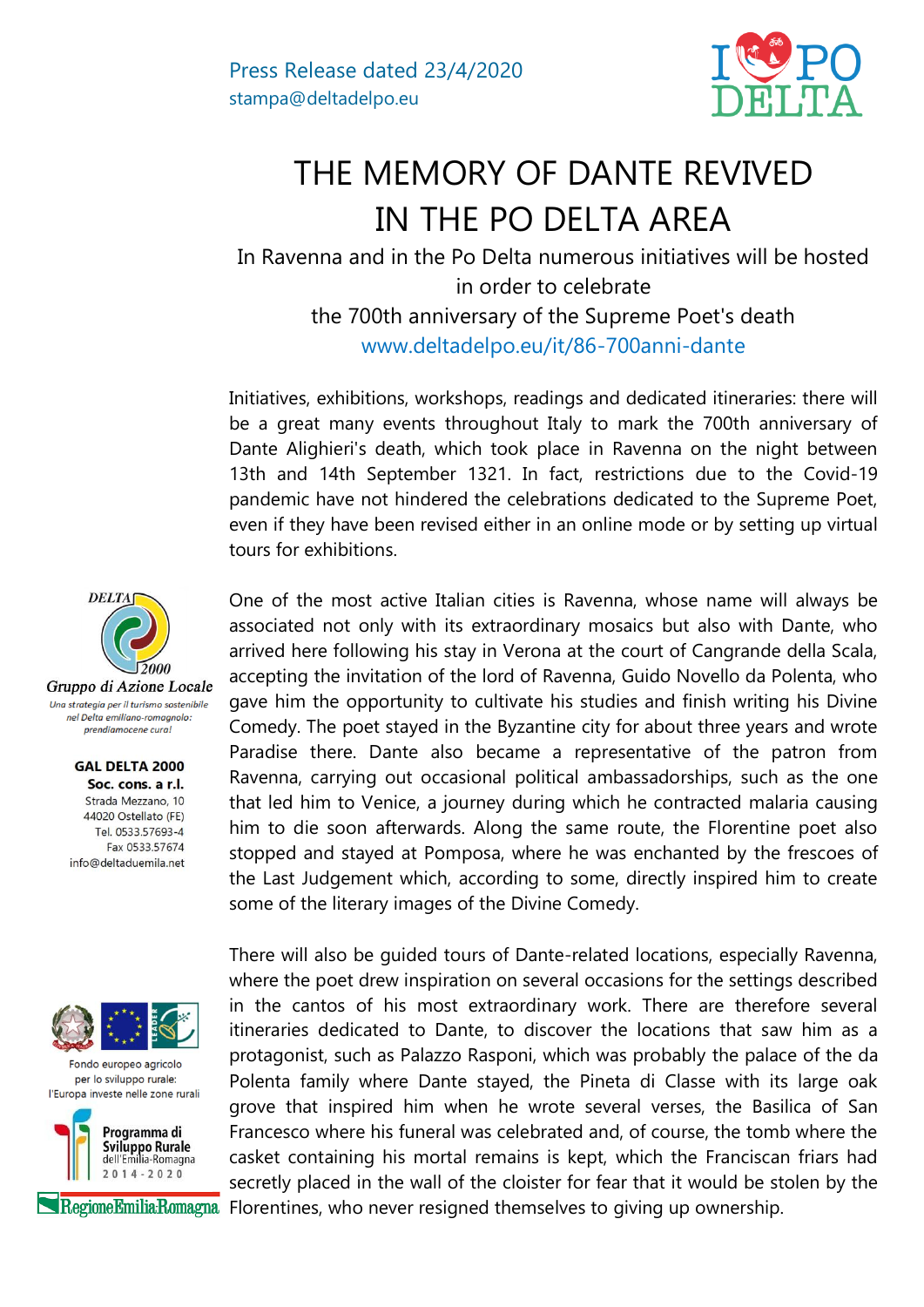

## THE MEMORY OF DANTE REVIVED IN THE PO DELTA AREA

In Ravenna and in the Po Delta numerous initiatives will be hosted in order to celebrate the 700th anniversary of the Supreme Poet's death www.deltadelpo.eu/it/86-700anni-dante

Initiatives, exhibitions, workshops, readings and dedicated itineraries: there will be a great many events throughout Italy to mark the 700th anniversary of Dante Alighieri's death, which took place in Ravenna on the night between 13th and 14th September 1321. In fact, restrictions due to the Covid-19 pandemic have not hindered the celebrations dedicated to the Supreme Poet, even if they have been revised either in an online mode or by setting up virtual tours for exhibitions.

One of the most active Italian cities is Ravenna, whose name will always be associated not only with its extraordinary mosaics but also with Dante, who arrived here following his stay in Verona at the court of Cangrande della Scala, accepting the invitation of the lord of Ravenna, Guido Novello da Polenta, who gave him the opportunity to cultivate his studies and finish writing his Divine Comedy. The poet stayed in the Byzantine city for about three years and wrote Paradise there. Dante also became a representative of the patron from Ravenna, carrying out occasional political ambassadorships, such as the one that led him to Venice, a journey during which he contracted malaria causing him to die soon afterwards. Along the same route, the Florentine poet also stopped and stayed at Pomposa, where he was enchanted by the frescoes of the Last Judgement which, according to some, directly inspired him to create some of the literary images of the Divine Comedy.

There will also be guided tours of Dante-related locations, especially Ravenna, where the poet drew inspiration on several occasions for the settings described in the cantos of his most extraordinary work. There are therefore several itineraries dedicated to Dante, to discover the locations that saw him as a protagonist, such as Palazzo Rasponi, which was probably the palace of the da Polenta family where Dante stayed, the Pineta di Classe with its large oak grove that inspired him when he wrote several verses, the Basilica of San Francesco where his funeral was celebrated and, of course, the tomb where the casket containing his mortal remains is kept, which the Franciscan friars had secretly placed in the wall of the cloister for fear that it would be stolen by the RegioneEmiliaRomagna Florentines, who never resigned themselves to giving up ownership.



Gruppo di Azione Locale Una strategia per il turismo sostenibile nel Delta emiliano-romagnolo: prendiamocene cura!

> **GAL DELTA 2000** Soc. cons. a r.l. Strada Mezzano, 10 44020 Ostellato (FE) Tel. 0533.57693-4 Fax 0533 57674 info@deltaduemila.net



Fondo europeo agricolo per lo sviluppo rurale: l'Europa investe nelle zone rurali

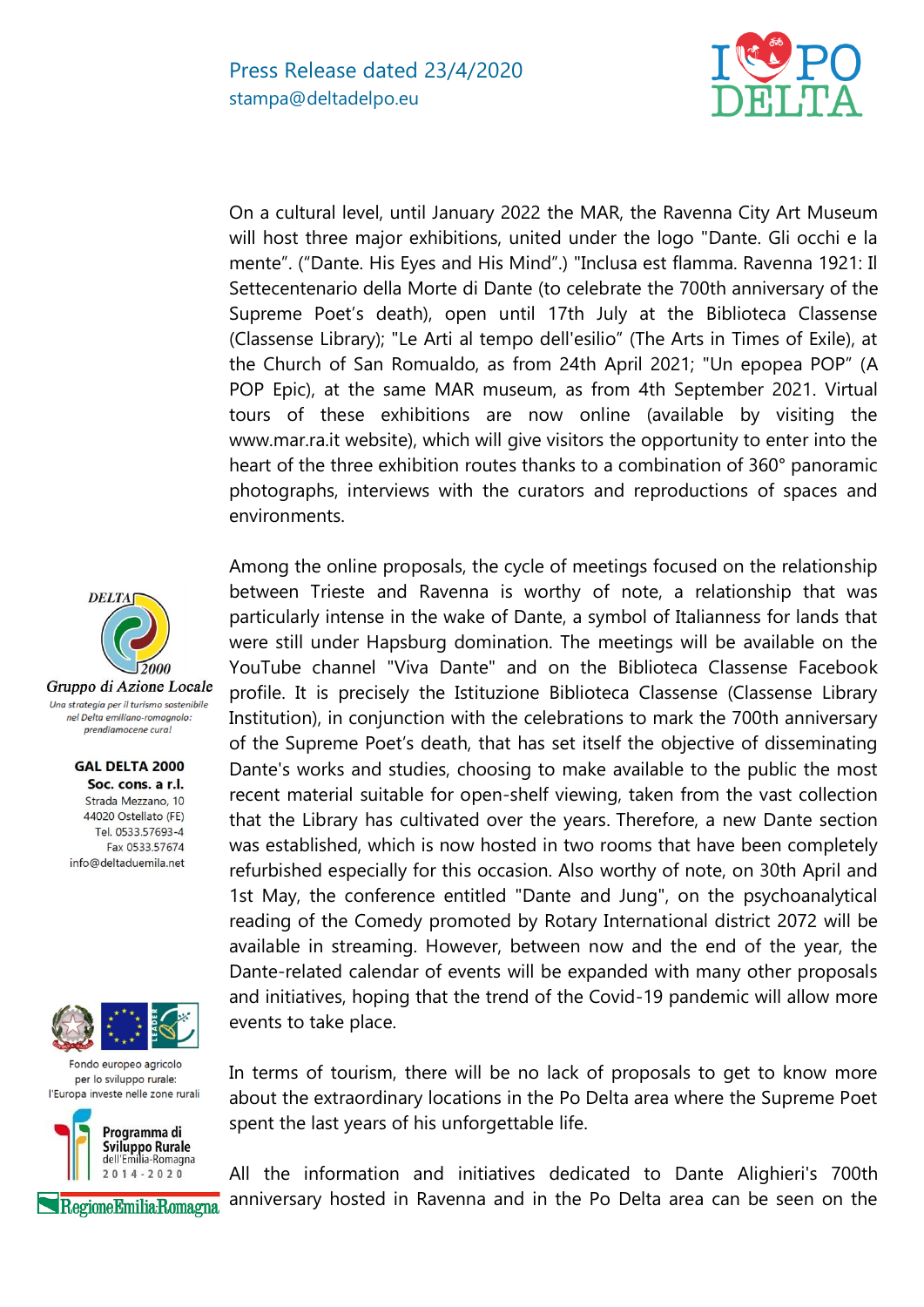

On a cultural level, until January 2022 the MAR, the Ravenna City Art Museum will host three major exhibitions, united under the logo "Dante. Gli occhi e la mente". ("Dante. His Eyes and His Mind".) "Inclusa est flamma. Ravenna 1921: Il Settecentenario della Morte di Dante (to celebrate the 700th anniversary of the Supreme Poet's death), open until 17th July at the Biblioteca Classense (Classense Library); "Le Arti al tempo dell'esilio" (The Arts in Times of Exile), at the Church of San Romualdo, as from 24th April 2021; "Un epopea POP" (A POP Epic), at the same MAR museum, as from 4th September 2021. Virtual tours of these exhibitions are now online (available by visiting the www.mar.ra.it website), which will give visitors the opportunity to enter into the heart of the three exhibition routes thanks to a combination of 360° panoramic photographs, interviews with the curators and reproductions of spaces and environments.

Among the online proposals, the cycle of meetings focused on the relationship between Trieste and Ravenna is worthy of note, a relationship that was particularly intense in the wake of Dante, a symbol of Italianness for lands that were still under Hapsburg domination. The meetings will be available on the YouTube channel "Viva Dante" and on the Biblioteca Classense Facebook profile. It is precisely the Istituzione Biblioteca Classense (Classense Library Institution), in conjunction with the celebrations to mark the 700th anniversary of the Supreme Poet's death, that has set itself the objective of disseminating Dante's works and studies, choosing to make available to the public the most recent material suitable for open-shelf viewing, taken from the vast collection that the Library has cultivated over the years. Therefore, a new Dante section was established, which is now hosted in two rooms that have been completely refurbished especially for this occasion. Also worthy of note, on 30th April and 1st May, the conference entitled "Dante and Jung", on the psychoanalytical reading of the Comedy promoted by Rotary International district 2072 will be available in streaming. However, between now and the end of the year, the Dante-related calendar of events will be expanded with many other proposals and initiatives, hoping that the trend of the Covid-19 pandemic will allow more events to take place.

In terms of tourism, there will be no lack of proposals to get to know more about the extraordinary locations in the Po Delta area where the Supreme Poet spent the last years of his unforgettable life.

All the information and initiatives dedicated to Dante Alighieri's 700th anniversary hosted in Ravenna and in the Po Delta area can be seen on the



Gruppo di Azione Locale Una strategia per il turismo sostenibile nel Delta emiliano-romagnolo: prendiamocene cura!

> **GAL DELTA 2000** Soc. cons. a r.l. Strada Mezzano, 10 44020 Ostellato (FE) Tel. 0533.57693-4 Fax 0533 57674 info@deltaduemila.net



Fondo europeo agricolo per lo sviluppo rurale: l'Europa investe nelle zone rurali